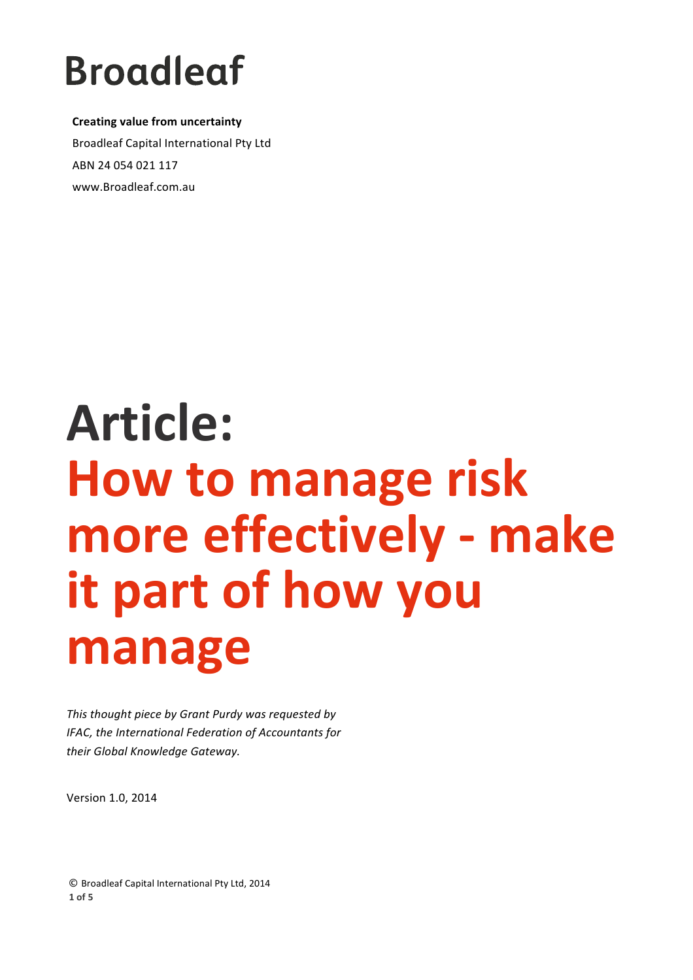**Creating value from uncertainty** Broadleaf Capital International Pty Ltd ABN 24 054 021 117 www.Broadleaf.com.au

# **Article: How to manage risk more effectively - make it part of how you manage**

This thought piece by Grant Purdy was requested by *IFAC, the International Federation of Accountants for their Global Knowledge Gateway.*

Version 1.0, 2014

**©** Broadleaf Capital International Pty Ltd, 2014 **1 of 5**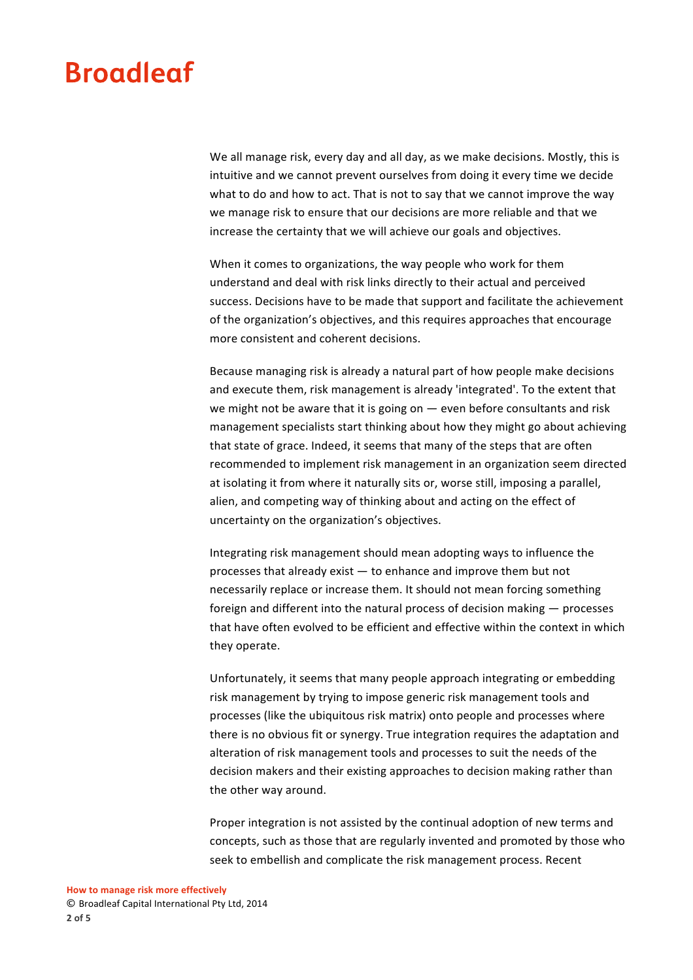We all manage risk, every day and all day, as we make decisions. Mostly, this is intuitive and we cannot prevent ourselves from doing it every time we decide what to do and how to act. That is not to say that we cannot improve the way we manage risk to ensure that our decisions are more reliable and that we increase the certainty that we will achieve our goals and objectives.

When it comes to organizations, the way people who work for them understand and deal with risk links directly to their actual and perceived success. Decisions have to be made that support and facilitate the achievement of the organization's obiectives, and this requires approaches that encourage more consistent and coherent decisions.

Because managing risk is already a natural part of how people make decisions and execute them, risk management is already 'integrated'. To the extent that we might not be aware that it is going on  $-$  even before consultants and risk management specialists start thinking about how they might go about achieving that state of grace. Indeed, it seems that many of the steps that are often recommended to implement risk management in an organization seem directed at isolating it from where it naturally sits or, worse still, imposing a parallel, alien, and competing way of thinking about and acting on the effect of uncertainty on the organization's objectives.

Integrating risk management should mean adopting ways to influence the processes that already exist  $-$  to enhance and improve them but not necessarily replace or increase them. It should not mean forcing something foreign and different into the natural process of decision making  $-$  processes that have often evolved to be efficient and effective within the context in which they operate.

Unfortunately, it seems that many people approach integrating or embedding risk management by trying to impose generic risk management tools and processes (like the ubiquitous risk matrix) onto people and processes where there is no obvious fit or synergy. True integration requires the adaptation and alteration of risk management tools and processes to suit the needs of the decision makers and their existing approaches to decision making rather than the other way around.

Proper integration is not assisted by the continual adoption of new terms and concepts, such as those that are regularly invented and promoted by those who seek to embellish and complicate the risk management process. Recent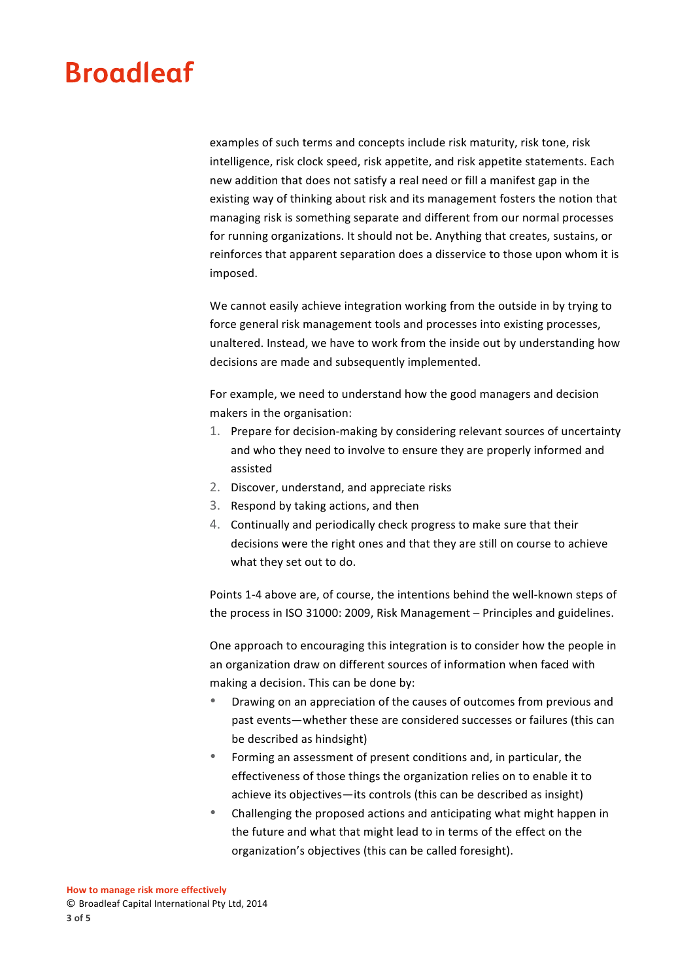examples of such terms and concepts include risk maturity, risk tone, risk intelligence, risk clock speed, risk appetite, and risk appetite statements. Each new addition that does not satisfy a real need or fill a manifest gap in the existing way of thinking about risk and its management fosters the notion that managing risk is something separate and different from our normal processes for running organizations. It should not be. Anything that creates, sustains, or reinforces that apparent separation does a disservice to those upon whom it is imposed.

We cannot easily achieve integration working from the outside in by trying to force general risk management tools and processes into existing processes, unaltered. Instead, we have to work from the inside out by understanding how decisions are made and subsequently implemented.

For example, we need to understand how the good managers and decision makers in the organisation:

- 1. Prepare for decision-making by considering relevant sources of uncertainty and who they need to involve to ensure they are properly informed and assisted
- 2. Discover, understand, and appreciate risks
- 3. Respond by taking actions, and then
- 4. Continually and periodically check progress to make sure that their decisions were the right ones and that they are still on course to achieve what they set out to do.

Points 1-4 above are, of course, the intentions behind the well-known steps of the process in ISO 31000: 2009, Risk Management - Principles and guidelines.

One approach to encouraging this integration is to consider how the people in an organization draw on different sources of information when faced with making a decision. This can be done by:

- Drawing on an appreciation of the causes of outcomes from previous and past events—whether these are considered successes or failures (this can be described as hindsight)
- Forming an assessment of present conditions and, in particular, the effectiveness of those things the organization relies on to enable it to achieve its objectives—its controls (this can be described as insight)
- Challenging the proposed actions and anticipating what might happen in the future and what that might lead to in terms of the effect on the organization's objectives (this can be called foresight).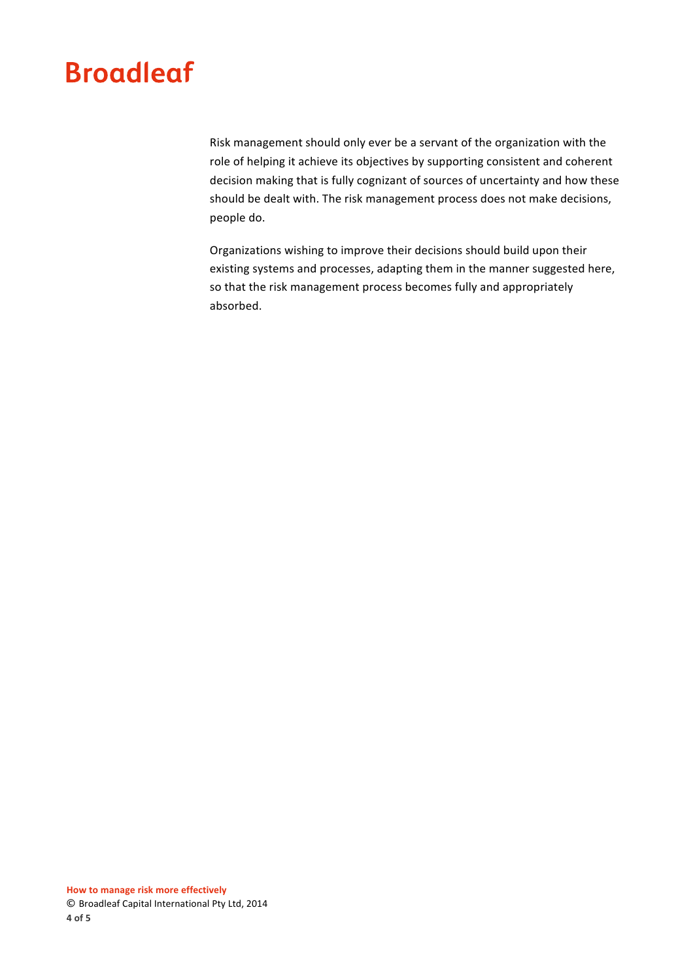Risk management should only ever be a servant of the organization with the role of helping it achieve its objectives by supporting consistent and coherent decision making that is fully cognizant of sources of uncertainty and how these should be dealt with. The risk management process does not make decisions, people do.

Organizations wishing to improve their decisions should build upon their existing systems and processes, adapting them in the manner suggested here, so that the risk management process becomes fully and appropriately absorbed.